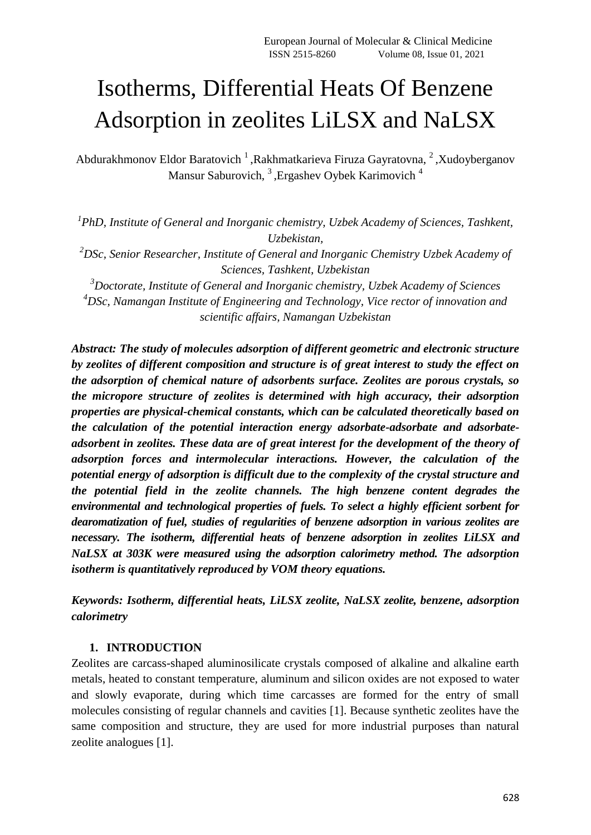# Isotherms, Differential Heats Of Benzene Adsorption in zeolites LiLSX and NaLSX

Abdurakhmonov Eldor Baratovich<sup>1</sup>, Rakhmatkarieva Firuza Gayratovna, <sup>2</sup>, Xudoyberganov Mansur Saburovich, <sup>3</sup>, Ergashev Oybek Karimovich<sup>4</sup>

<sup>1</sup> PhD, Institute of General and Inorganic chemistry, Uzbek Academy of Sciences, Tashkent, *Uzbekistan, <sup>2</sup>DSc, Senior Researcher, Institute of General and Inorganic Chemistry Uzbek Academy of Sciences, Tashkent, Uzbekistan <sup>3</sup>Doctorate, Institute of General and Inorganic chemistry, Uzbek Academy of Sciences <sup>4</sup>DSc, Namangan Institute of Engineering and Technology, Vice rector of innovation and scientific affairs, Namangan Uzbekistan* 

*Abstract: The study of molecules adsorption of different geometric and electronic structure by zeolites of different composition and structure is of great interest to study the effect on the adsorption of chemical nature of adsorbents surface. Zeolites are porous crystals, so the micropore structure of zeolites is determined with high accuracy, their adsorption properties are physical-chemical constants, which can be calculated theoretically based on the calculation of the potential interaction energy adsorbate-adsorbate and adsorbateadsorbent in zeolites. These data are of great interest for the development of the theory of adsorption forces and intermolecular interactions. However, the calculation of the potential energy of adsorption is difficult due to the complexity of the crystal structure and the potential field in the zeolite channels. The high benzene content degrades the environmental and technological properties of fuels. To select a highly efficient sorbent for dearomatization of fuel, studies of regularities of benzene adsorption in various zeolites are necessary. The isotherm, differential heats of benzene adsorption in zeolites LiLSX and NaLSX at 303K were measured using the adsorption calorimetry method. The adsorption isotherm is quantitatively reproduced by VOM theory equations.*

*Keywords: Isotherm, differential heats, LiLSX zeolite, NaLSX zeolite, benzene, adsorption calorimetry*

# **1. INTRODUCTION**

Zeolites are carcass-shaped aluminosilicate crystals composed of alkaline and alkaline earth metals, heated to constant temperature, aluminum and silicon oxides are not exposed to water and slowly evaporate, during which time carcasses are formed for the entry of small molecules consisting of regular channels and cavities [1]. Because synthetic zeolites have the same composition and structure, they are used for more industrial purposes than natural zeolite analogues [1].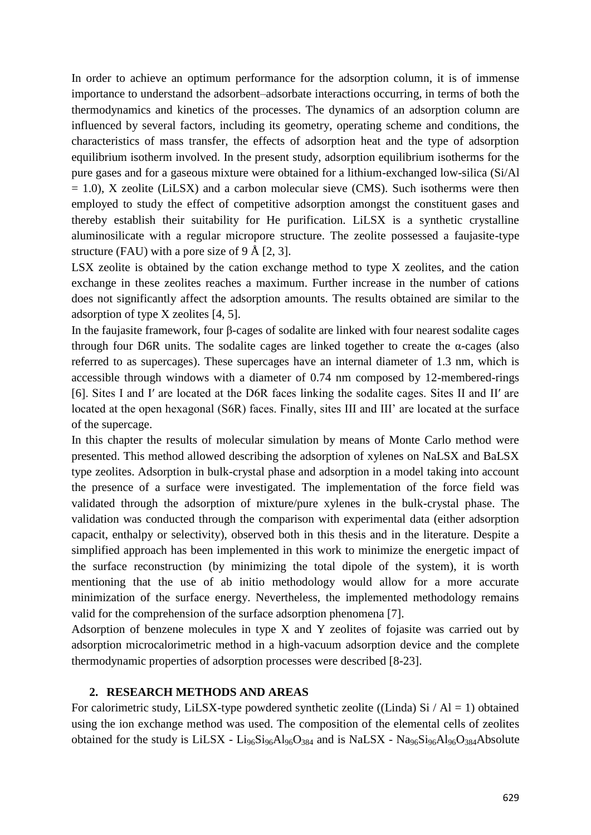In order to achieve an optimum performance for the adsorption column, it is of immense importance to understand the adsorbent–adsorbate interactions occurring, in terms of both the thermodynamics and kinetics of the processes. The dynamics of an adsorption column are influenced by several factors, including its geometry, operating scheme and conditions, the characteristics of mass transfer, the effects of adsorption heat and the type of adsorption equilibrium isotherm involved. In the present study, adsorption equilibrium isotherms for the pure gases and for a gaseous mixture were obtained for a lithium-exchanged low-silica (Si/Al  $= 1.0$ ), X zeolite (LiLSX) and a carbon molecular sieve (CMS). Such isotherms were then employed to study the effect of competitive adsorption amongst the constituent gases and thereby establish their suitability for He purification. LiLSX is a synthetic crystalline aluminosilicate with a regular micropore structure. The zeolite possessed a faujasite-type structure (FAU) with a pore size of  $9 \text{ Å}$  [2, 3].

LSX zeolite is obtained by the cation exchange method to type X zeolites, and the cation exchange in these zeolites reaches a maximum. Further increase in the number of cations does not significantly affect the adsorption amounts. The results obtained are similar to the adsorption of type X zeolites [4, 5].

In the faujasite framework, four β-cages of sodalite are linked with four nearest sodalite cages through four D6R units. The sodalite cages are linked together to create the  $\alpha$ -cages (also referred to as supercages). These supercages have an internal diameter of 1.3 nm, which is accessible through windows with a diameter of 0.74 nm composed by 12-membered-rings [6]. Sites I and I′ are located at the D6R faces linking the sodalite cages. Sites II and II′ are located at the open hexagonal (S6R) faces. Finally, sites III and III' are located at the surface of the supercage.

In this chapter the results of molecular simulation by means of Monte Carlo method were presented. This method allowed describing the adsorption of xylenes on NaLSX and BaLSX type zeolites. Adsorption in bulk-crystal phase and adsorption in a model taking into account the presence of a surface were investigated. The implementation of the force field was validated through the adsorption of mixture/pure xylenes in the bulk-crystal phase. The validation was conducted through the comparison with experimental data (either adsorption capacit, enthalpy or selectivity), observed both in this thesis and in the literature. Despite a simplified approach has been implemented in this work to minimize the energetic impact of the surface reconstruction (by minimizing the total dipole of the system), it is worth mentioning that the use of ab initio methodology would allow for a more accurate minimization of the surface energy. Nevertheless, the implemented methodology remains valid for the comprehension of the surface adsorption phenomena [7].

Adsorption of benzene molecules in type X and Y zeolites of fojasite was carried out by adsorption microcalorimetric method in a high-vacuum adsorption device and the complete thermodynamic properties of adsorption processes were described [8-23].

### **2. RESEARCH METHODS AND AREAS**

For calorimetric study, LiLSX-type powdered synthetic zeolite ((Linda) Si  $/$  Al = 1) obtained using the ion exchange method was used. The composition of the elemental cells of zeolites obtained for the study is LiLSX -  $Li_{96}Si_{96}Al_{96}O_{384}$  and is NaLSX - Na<sub>96</sub>Si<sub>96</sub>Al<sub>96</sub>O<sub>384</sub>Absolute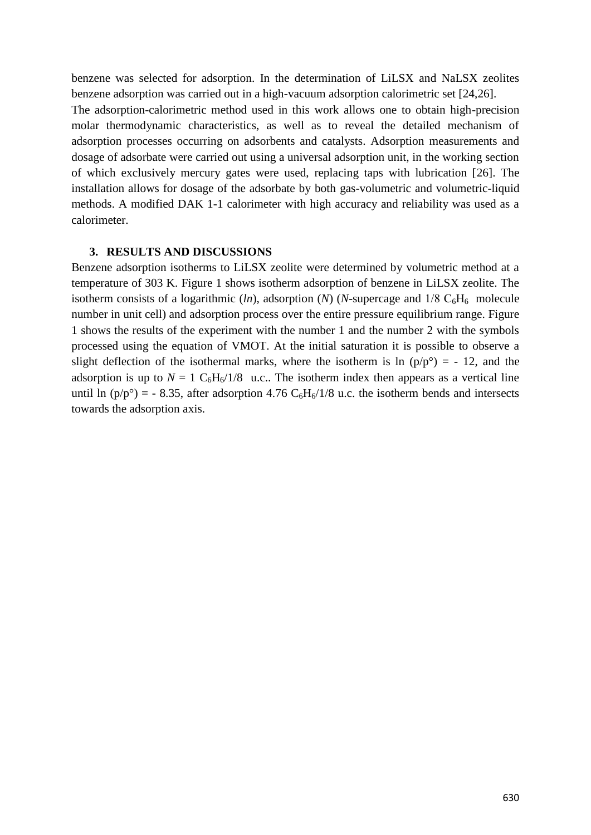benzene was selected for adsorption. In the determination of LiLSX and NaLSX zeolites benzene adsorption was carried out in a high-vacuum adsorption calorimetric set [24,26]. The adsorption-calorimetric method used in this work allows one to obtain high-precision molar thermodynamic characteristics, as well as to reveal the detailed mechanism of adsorption processes occurring on adsorbents and catalysts. Adsorption measurements and dosage of adsorbate were carried out using a universal adsorption unit, in the working section of which exclusively mercury gates were used, replacing taps with lubrication [26]. The installation allows for dosage of the adsorbate by both gas-volumetric and volumetric-liquid methods. A modified DAK 1-1 calorimeter with high accuracy and reliability was used as a calorimeter.

#### **3. RESULTS AND DISCUSSIONS**

Benzene adsorption isotherms to LiLSX zeolite were determined by volumetric method at a temperature of 303 K. Figure 1 shows isotherm adsorption of benzene in LiLSX zeolite. The isotherm consists of a logarithmic  $(ln)$ , adsorption  $(N)$  (*N*-supercage and  $1/8$  C<sub>6</sub>H<sub>6</sub> molecule number in unit cell) and adsorption process over the entire pressure equilibrium range. Figure 1 shows the results of the experiment with the number 1 and the number 2 with the symbols processed using the equation of VMOT. At the initial saturation it is possible to observe a slight deflection of the isothermal marks, where the isotherm is ln  $(p/p^{\circ}) = -12$ , and the adsorption is up to  $N = 1$  C<sub>6</sub>H<sub>6</sub>/1/8 u.c.. The isotherm index then appears as a vertical line until ln  $(p/p^{\circ}) = -8.35$ , after adsorption 4.76 C<sub>6</sub>H<sub>6</sub>/1/8 u.c. the isotherm bends and intersects towards the adsorption axis.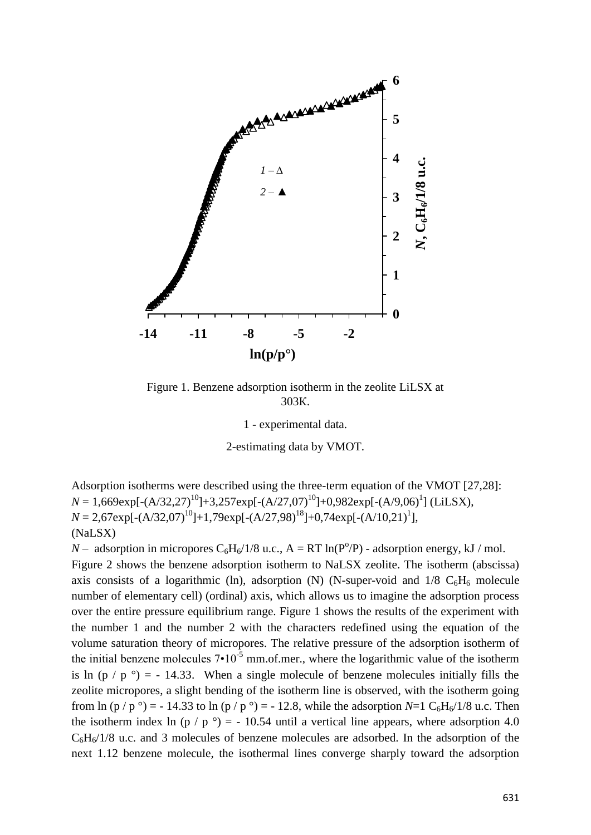

Figure 1. Benzene adsorption isotherm in the zeolite LiLSX at 303К.

1 - experimental data.

2-estimating data by VMOT.

Adsorption isotherms were described using the three-term equation of the VMOT [27,28]:  $N = 1,669 \exp[-(A/32,27)^{10}] + 3,257 \exp[-(A/27,07)^{10}] + 0,982 \exp[-(A/9,06)^{1}]$  (LiLSX),  $N = 2,67 \exp[-(A/32,07)^{10}]+1,79 \exp[-(A/27,98)^{18}]+0,74 \exp[-(A/10,21)^{1}],$ (NaLSX)

*N* – adsorption in micropores  $C_6H_6/1/8$  u.c.,  $A = RT \ln(P^0/P)$  - adsorption energy, kJ / mol. Figure 2 shows the benzene adsorption isotherm to NaLSX zeolite. The isotherm (abscissa) axis consists of a logarithmic (ln), adsorption (N) (N-super-void and  $1/8$  C<sub>6</sub>H<sub>6</sub> molecule number of elementary cell) (ordinal) axis, which allows us to imagine the adsorption process over the entire pressure equilibrium range. Figure 1 shows the results of the experiment with the number 1 and the number 2 with the characters redefined using the equation of the  $\frac{1}{2}$ volume saturation theory of micropores. The relative pressure of the adsorption isotherm of the initial benzene molecules  $7 \cdot 10^{-5}$  mm.of.mer., where the logarithmic value of the isotherm is ln  $(p / p^{\circ}) = -14.33$ . When a single molecule of benzene molecules initially fills the zeolite micropores, a slight bending of the isotherm line is observed, with the isotherm going from ln (p / p  $\degree$ ) = - 14.33 to ln (p / p  $\degree$ ) = - 12.8, while the adsorption *N*=1 C<sub>6</sub>H<sub>6</sub>/1/8 u.c. Then the isotherm index ln (p / p  $\degree$ ) = - 10.54 until a vertical line appears, where adsorption 4.0  $C_6H_6/1/8$  u.c. and 3 molecules of benzene molecules are adsorbed. In the adsorption of the next 1.12 benzene molecule, the isothermal lines converge sharply toward the adsorption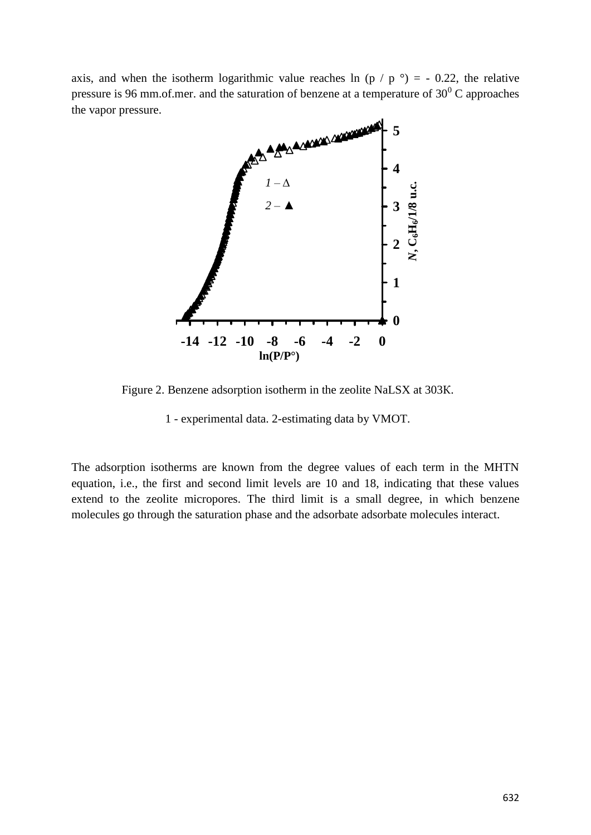axis, and when the isotherm logarithmic value reaches ln (p / p  $\degree$ ) = - 0.22, the relative pressure is 96 mm.of.mer. and the saturation of benzene at a temperature of  $30^0$  C approaches the vapor pressure.



Figure 2. Benzene adsorption isotherm in the zeolite NaLSX at 303К.

1 - experimental data. 2-estimating data by VMOT. Эксперимент қийматлари

The adsorption isotherms are known from the degree values of each term in the MHTN equation, i.e., the first and second limit levels are 10 and 18, indicating that these values extend to the zeolite micropores. The third limit is a small degree, in which benzene molecules go through the saturation phase and the adsorbate adsorbate molecules interact.  $\overline{a}$  and  $\overline{a}$  is the set of  $\overline{a}$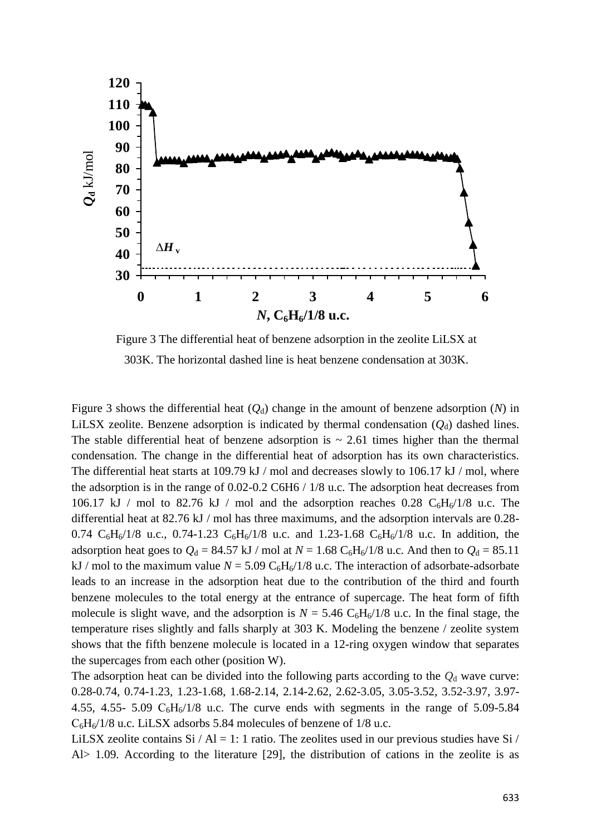

Figure 3 The differential heat of benzene adsorption in the zeolite LiLSX at 303K. The horizontal dashed line is heat benzene condensation at 303K.

Figure 3 shows the differential heat  $(Q_d)$  change in the amount of benzene adsorption  $(N)$  in LiLSX zeolite. Benzene adsorption is indicated by thermal condensation  $(Q_d)$  dashed lines. The stable differential heat of benzene adsorption is  $\sim 2.61$  times higher than the thermal condensation. The change in the differential heat of adsorption has its own characteristics. The differential heat starts at 109.79 kJ / mol and decreases slowly to 106.17 kJ / mol, where the adsorption is in the range of 0.02-0.2 C6H6 / 1/8 u.c. The adsorption heat decreases from 106.17 kJ / mol to 82.76 kJ / mol and the adsorption reaches 0.28  $C_6H_6/1/8$  u.c. The differential heat at 82.76 kJ / mol has three maximums, and the adsorption intervals are 0.28- 0.74  $C_6H_6/1/8$  u.c., 0.74-1.23  $C_6H_6/1/8$  u.c. and 1.23-1.68  $C_6H_6/1/8$  u.c. In addition, the adsorption heat goes to  $Q_d = 84.57$  kJ / mol at  $N = 1.68$  C<sub>6</sub>H<sub>6</sub>/1/8 u.c. And then to  $Q_d = 85.11$ kJ / mol to the maximum value  $N = 5.09 \text{ C}_6\text{H}_6/1/8$  u.c. The interaction of adsorbate-adsorbate leads to an increase in the adsorption heat due to the contribution of the third and fourth benzene molecules to the total energy at the entrance of supercage. The heat form of fifth molecule is slight wave, and the adsorption is  $N = 5.46 \text{ C}_6\text{H}_6/1/8$  u.c. In the final stage, the temperature rises slightly and falls sharply at 303 K. Modeling the benzene / zeolite system shows that the fifth benzene molecule is located in a 12-ring oxygen window that separates the supercages from each other (position W).

The adsorption heat can be divided into the following parts according to the  $Q_d$  wave curve: 0.28-0.74, 0.74-1.23, 1.23-1.68, 1.68-2.14, 2.14-2.62, 2.62-3.05, 3.05-3.52, 3.52-3.97, 3.97- 4.55, 4.55- 5.09  $C_6H_6/1/8$  u.c. The curve ends with segments in the range of 5.09-5.84  $C_6H_6/1/8$  u.c. LiLSX adsorbs 5.84 molecules of benzene of 1/8 u.c.

LiLSX zeolite contains  $Si / Al = 1$ : 1 ratio. The zeolites used in our previous studies have Si / Al> 1.09. According to the literature [29], the distribution of cations in the zeolite is as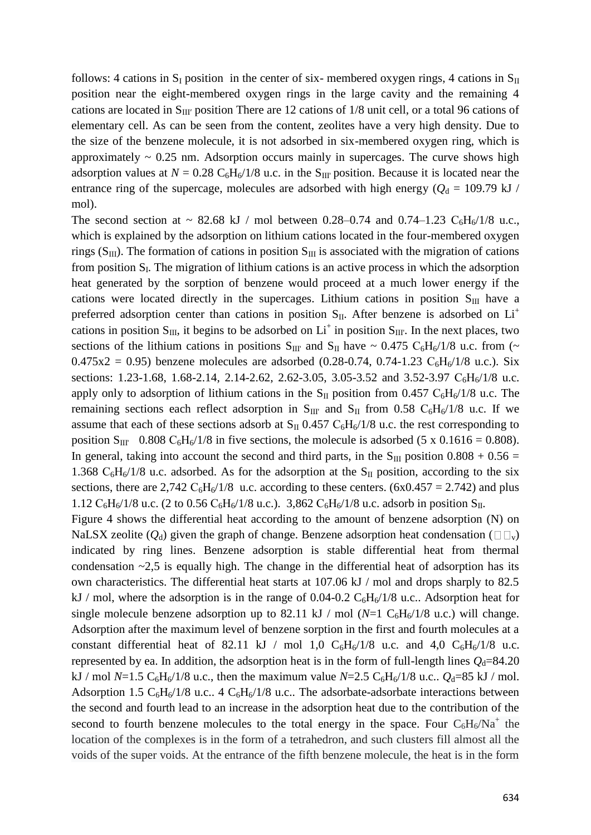follows: 4 cations in  $S_I$  position in the center of six-membered oxygen rings, 4 cations in  $S_{II}$ position near the eight-membered oxygen rings in the large cavity and the remaining 4 cations are located in  $S_{III'}$  position There are 12 cations of 1/8 unit cell, or a total 96 cations of elementary cell. As can be seen from the content, zeolites have a very high density. Due to the size of the benzene molecule, it is not adsorbed in six-membered oxygen ring, which is approximately  $\sim 0.25$  nm. Adsorption occurs mainly in supercages. The curve shows high adsorption values at  $N = 0.28 \text{ C}_6\text{H}_6/1/8$  u.c. in the S<sub>III</sub>' position. Because it is located near the entrance ring of the supercage, molecules are adsorbed with high energy ( $Q_d = 109.79$  kJ / mol).

The second section at  $\sim 82.68$  kJ / mol between 0.28–0.74 and 0.74–1.23 C<sub>6</sub>H<sub>6</sub>/1/8 u.c., which is explained by the adsorption on lithium cations located in the four-membered oxygen rings ( $S_{III}$ ). The formation of cations in position  $S_{III}$  is associated with the migration of cations from position  $S_I$ . The migration of lithium cations is an active process in which the adsorption heat generated by the sorption of benzene would proceed at a much lower energy if the cations were located directly in the supercages. Lithium cations in position  $S_{III}$  have a preferred adsorption center than cations in position  $S_{II}$ . After benzene is adsorbed on  $Li^+$ cations in position  $S_{III}$ , it begins to be adsorbed on  $Li^+$  in position  $S_{III}$ . In the next places, two sections of the lithium cations in positions  $S_{III}$  and  $S_{II}$  have ~ 0.475  $C_6H_6/1/8$  u.c. from (~  $0.475x^2 = 0.95$ ) benzene molecules are adsorbed (0.28-0.74, 0.74-1.23 C<sub>6</sub>H<sub>6</sub>/1/8 u.c.). Six sections: 1.23-1.68, 1.68-2.14, 2.14-2.62, 2.62-3.05, 3.05-3.52 and 3.52-3.97  $C_6H_6/1/8$  u.c. apply only to adsorption of lithium cations in the  $S_{II}$  position from 0.457  $C_6H_6/1/8$  u.c. The remaining sections each reflect adsorption in  $S_{III}$  and  $S_{II}$  from 0.58 C<sub>6</sub>H<sub>6</sub>/1/8 u.c. If we assume that each of these sections adsorb at  $S_{II}$  0.457  $C_6H_6/1/8$  u.c. the rest corresponding to position  $S_{III'}$  0.808  $C_6H_6/1/8$  in five sections, the molecule is adsorbed (5 x 0.1616 = 0.808). In general, taking into account the second and third parts, in the  $S_{III}$  position 0.808 + 0.56 = 1.368  $C_6H_6/1/8$  u.c. adsorbed. As for the adsorption at the S<sub>II</sub> position, according to the six sections, there are 2,742  $C_6H_6/1/8$  u.c. according to these centers. (6x0.457 = 2.742) and plus 1.12  $C_6H_6/1/8$  u.c. (2 to 0.56  $C_6H_6/1/8$  u.c.). 3,862  $C_6H_6/1/8$  u.c. adsorb in position  $S_{II}$ .

Figure 4 shows the differential heat according to the amount of benzene adsorption (N) on NaLSX zeolite ( $Q_d$ ) given the graph of change. Benzene adsorption heat condensation ( $\square \square_v$ ) indicated by ring lines. Benzene adsorption is stable differential heat from thermal condensation  $\sim$ 2,5 is equally high. The change in the differential heat of adsorption has its own characteristics. The differential heat starts at 107.06 kJ / mol and drops sharply to 82.5 kJ / mol, where the adsorption is in the range of 0.04-0.2  $C_6H_6/1/8$  u.c.. Adsorption heat for single molecule benzene adsorption up to 82.11 kJ / mol  $(N=1 \text{ C}_6\text{H}_6/1/8 \text{ u.c.})$  will change. Adsorption after the maximum level of benzene sorption in the first and fourth molecules at a constant differential heat of 82.11 kJ / mol 1,0  $C_6H_6/1/8$  u.c. and 4,0  $C_6H_6/1/8$  u.c. represented by ea. In addition, the adsorption heat is in the form of full-length lines  $Q_d$ =84.20 kJ / mol *N*=1.5 C<sub>6</sub>H<sub>6</sub>/1/8 u.c., then the maximum value *N*=2.5 C<sub>6</sub>H<sub>6</sub>/1/8 u.c..  $Q_d$ =85 kJ / mol. Adsorption 1.5  $C_6H_6/1/8$  u.c.. 4  $C_6H_6/1/8$  u.c.. The adsorbate-adsorbate interactions between the second and fourth lead to an increase in the adsorption heat due to the contribution of the second to fourth benzene molecules to the total energy in the space. Four  $C_6H_6/Na^+$  the location of the complexes is in the form of a tetrahedron, and such clusters fill almost all the voids of the super voids. At the entrance of the fifth benzene molecule, the heat is in the form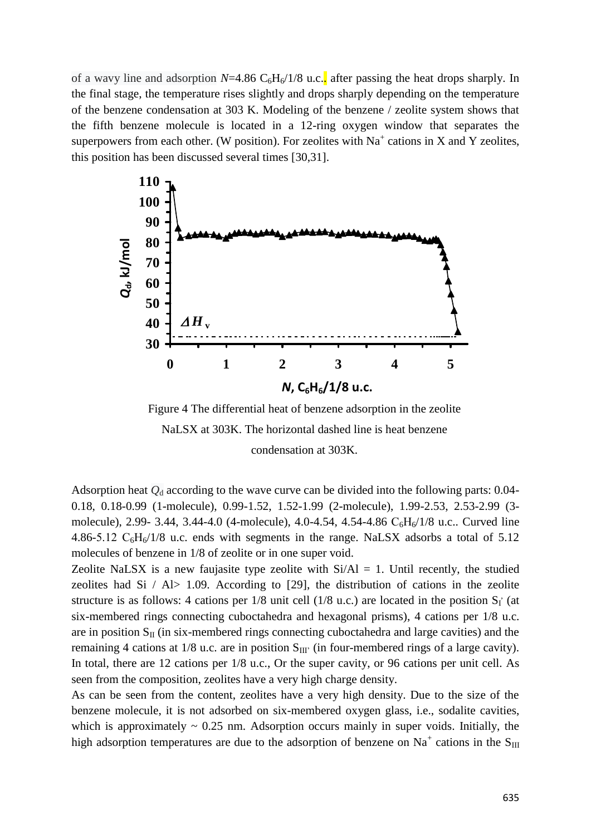of a wavy line and adsorption  $N=4.86 \text{ C}_6\text{H}_6/1/8$  u.c.. after passing the heat drops sharply. In the final stage, the temperature rises slightly and drops sharply depending on the temperature of the benzene condensation at 303 K. Modeling of the benzene / zeolite system shows that the fifth benzene molecule is located in a 12-ring oxygen window that separates the superpowers from each other. (W position). For zeolites with  $Na<sup>+</sup>$  cations in X and Y zeolites, this position has been discussed several times [30,31].



Figure 4 The differential heat of benzene adsorption in the zeolite NaLSX at 303K. The horizontal dashed line is heat benzene condensation at 303K.

Adsorption heat  $Q_d$  according to the wave curve can be divided into the following parts:  $0.04$ -0.18, 0.18-0.99 (1-molecule), 0.99-1.52, 1.52-1.99 (2-molecule), 1.99-2.53, 2.53-2.99 (3 molecule), 2.99- 3.44, 3.44-4.0 (4-molecule), 4.0-4.54, 4.54-4.86 C<sub>6</sub>H<sub>6</sub>/1/8 u.c.. Curved line 4.86-5.12  $C_6H_6/1/8$  u.c. ends with segments in the range. NaLSX adsorbs a total of 5.12 molecules of benzene in 1/8 of zeolite or in one super void.

Zeolite NaLSX is a new faujasite type zeolite with  $Si/Al = 1$ . Until recently, the studied zeolites had Si  $/$  Al $>$  1.09. According to [29], the distribution of cations in the zeolite structure is as follows: 4 cations per  $1/8$  unit cell ( $1/8$  u.c.) are located in the position  $S_I$  (at six-membered rings connecting cuboctahedra and hexagonal prisms), 4 cations per 1/8 u.c. are in position  $S_{II}$  (in six-membered rings connecting cuboctahedra and large cavities) and the remaining 4 cations at  $1/8$  u.c. are in position  $S_{III'}$  (in four-membered rings of a large cavity). In total, there are 12 cations per 1/8 u.c., Or the super cavity, or 96 cations per unit cell. As seen from the composition, zeolites have a very high charge density.

As can be seen from the content, zeolites have a very high density. Due to the size of the benzene molecule, it is not adsorbed on six-membered oxygen glass, i.e., sodalite cavities, which is approximately  $\sim 0.25$  nm. Adsorption occurs mainly in super voids. Initially, the high adsorption temperatures are due to the adsorption of benzene on Na<sup>+</sup> cations in the S<sub>III</sub>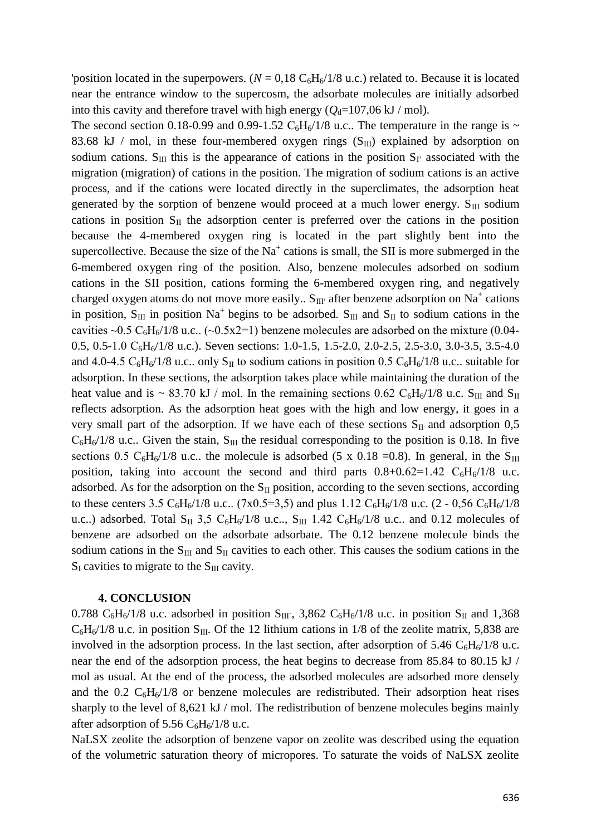'position located in the superpowers. ( $N = 0.18 \text{ C}_6\text{H}_6/1/8$  u.c.) related to. Because it is located near the entrance window to the supercosm, the adsorbate molecules are initially adsorbed into this cavity and therefore travel with high energy  $(Q_d=107,06 \text{ kJ} / \text{mol})$ .

The second section 0.18-0.99 and 0.99-1.52  $C_6H_6/1/8$  u.c.. The temperature in the range is ~ 83.68 kJ / mol, in these four-membered oxygen rings  $(S_{III})$  explained by adsorption on sodium cations. S<sub>III</sub> this is the appearance of cations in the position  $S_{\Gamma}$  associated with the migration (migration) of cations in the position. The migration of sodium cations is an active process, and if the cations were located directly in the superclimates, the adsorption heat generated by the sorption of benzene would proceed at a much lower energy.  $S_{III}$  sodium cations in position  $S_{II}$  the adsorption center is preferred over the cations in the position because the 4-membered oxygen ring is located in the part slightly bent into the supercollective. Because the size of the  $Na<sup>+</sup>$  cations is small, the SII is more submerged in the 6-membered oxygen ring of the position. Also, benzene molecules adsorbed on sodium cations in the SII position, cations forming the 6-membered oxygen ring, and negatively charged oxygen atoms do not move more easily.. S<sub>III'</sub> after benzene adsorption on Na<sup>+</sup> cations in position,  $S_{III}$  in position Na<sup>+</sup> begins to be adsorbed.  $S_{III}$  and  $S_{II}$  to sodium cations in the cavities ~0.5  $C_6H_6/1/8$  u.c.. (~0.5x2=1) benzene molecules are adsorbed on the mixture (0.04-0.5, 0.5-1.0  $C_6H_6/1/8$  u.c.). Seven sections: 1.0-1.5, 1.5-2.0, 2.0-2.5, 2.5-3.0, 3.0-3.5, 3.5-4.0 and 4.0-4.5  $C_6H_6/1/8$  u.c.. only S<sub>II</sub> to sodium cations in position 0.5  $C_6H_6/1/8$  u.c.. suitable for adsorption. In these sections, the adsorption takes place while maintaining the duration of the heat value and is ~ 83.70 kJ / mol. In the remaining sections 0.62 C<sub>6</sub>H<sub>6</sub>/1/8 u.c. S<sub>III</sub> and S<sub>II</sub> reflects adsorption. As the adsorption heat goes with the high and low energy, it goes in a very small part of the adsorption. If we have each of these sections  $S_{II}$  and adsorption 0,5  $C_6H_6/1/8$  u.c.. Given the stain, S<sub>III</sub> the residual corresponding to the position is 0.18. In five sections 0.5 C<sub>6</sub>H<sub>6</sub>/1/8 u.c.. the molecule is adsorbed (5 x 0.18 =0.8). In general, in the S<sub>III</sub> position, taking into account the second and third parts  $0.8+0.62=1.42 \text{ C}_6\text{H}_6/1/8$  u.c. adsorbed. As for the adsorption on the  $S_{II}$  position, according to the seven sections, according to these centers 3.5  $C_6H_6/1/8$  u.c.. (7x0.5=3,5) and plus 1.12  $C_6H_6/1/8$  u.c. (2 - 0,56  $C_6H_6/1/8$ u.c..) adsorbed. Total S<sub>II</sub> 3,5 C<sub>6</sub>H<sub>6</sub>/1/8 u.c.., S<sub>III</sub> 1.42 C<sub>6</sub>H<sub>6</sub>/1/8 u.c.. and 0.12 molecules of benzene are adsorbed on the adsorbate adsorbate. The 0.12 benzene molecule binds the sodium cations in the  $S_{III}$  and  $S_{II}$  cavities to each other. This causes the sodium cations in the  $S_{\text{I}}$  cavities to migrate to the  $S_{\text{III}}$  cavity.

#### **4. CONCLUSION**

0.788 C<sub>6</sub>H<sub>6</sub>/1/8 u.c. adsorbed in position S<sub>III</sub><sup> $\cdot$ </sup>, 3,862 C<sub>6</sub>H<sub>6</sub>/1/8 u.c. in position S<sub>II</sub> and 1,368  $C_6H_6/1/8$  u.c. in position S<sub>III</sub>. Of the 12 lithium cations in 1/8 of the zeolite matrix, 5,838 are involved in the adsorption process. In the last section, after adsorption of 5.46  $C_6H_6/1/8$  u.c. near the end of the adsorption process, the heat begins to decrease from 85.84 to 80.15 kJ / mol as usual. At the end of the process, the adsorbed molecules are adsorbed more densely and the 0.2  $C_6H_6/1/8$  or benzene molecules are redistributed. Their adsorption heat rises sharply to the level of 8,621 kJ / mol. The redistribution of benzene molecules begins mainly after adsorption of 5.56  $C_6H_6/1/8$  u.c.

NaLSX zeolite the adsorption of benzene vapor on zeolite was described using the equation of the volumetric saturation theory of micropores. To saturate the voids of NaLSX zeolite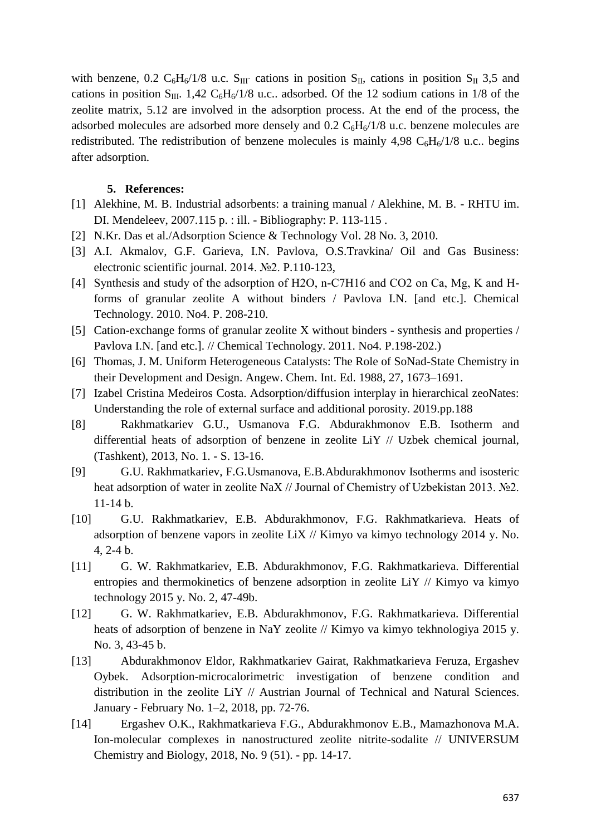with benzene, 0.2  $C_6H_6/1/8$  u.c.  $S_{III'}$  cations in position  $S_{II}$ , cations in position  $S_{II}$  3,5 and cations in position  $S_{III}$ . 1,42  $C_6H_6/1/8$  u.c.. adsorbed. Of the 12 sodium cations in 1/8 of the zeolite matrix, 5.12 are involved in the adsorption process. At the end of the process, the adsorbed molecules are adsorbed more densely and  $0.2 \text{ C}_6\text{H}_6/1/8$  u.c. benzene molecules are redistributed. The redistribution of benzene molecules is mainly 4,98  $C_6H_6/1/8$  u.c.. begins after adsorption.

## **5. References:**

- [1] Alekhine, M. B. Industrial adsorbents: a training manual / Alekhine, M. B. RHTU im. DI. Mendeleev, 2007.115 p. : ill. - Bibliography: P. 113-115 .
- [2] N.Kr. Das et al./Adsorption Science & Technology Vol. 28 No. 3, 2010.
- [3] A.I. Akmalov, G.F. Garieva, I.N. Pavlova, O.S.Travkina/ Oil and Gas Business: electronic scientific journal. 2014. №2. P.110-123,
- [4] Synthesis and study of the adsorption of H2O, n-C7H16 and CO2 on Ca, Mg, K and Hforms of granular zeolite A without binders / Pavlova I.N. [and etc.]. Chemical Technology. 2010. No4. P. 208-210.
- [5] Cation-exchange forms of granular zeolite X without binders synthesis and properties / Pavlova I.N. [and etc.]. // Chemical Technology. 2011. No4. P.198-202.)
- [6] Thomas, J. M. Uniform Heterogeneous Catalysts: The Role of SoNad-State Chemistry in their Development and Design. Angew. Chem. Int. Ed. 1988, 27, 1673–1691.
- [7] Izabel Cristina Medeiros Costa. Adsorption/diffusion interplay in hierarchical zeoNates: Understanding the role of external surface and additional porosity. 2019.pp.188
- [8] Rakhmatkariev G.U., Usmanova F.G. Abdurakhmonov E.B. Isotherm and differential heats of adsorption of benzene in zeolite LiY // Uzbek chemical journal, (Tashkent), 2013, No. 1. - S. 13-16.
- [9] G.U. Rakhmatkariev, F.G.Usmanova, E.B.Abdurakhmonov Isotherms and isosteric heat adsorption of water in zeolite NaX // Journal of Chemistry of Uzbekistan 2013. №2. 11-14 b.
- [10] G.U. Rakhmatkariev, E.B. Abdurakhmonov, F.G. Rakhmatkarieva. Heats of adsorption of benzene vapors in zeolite LiX // Kimyo va kimyo technology 2014 y. No. 4, 2-4 b.
- [11] G. W. Rakhmatkariev, E.B. Abdurakhmonov, F.G. Rakhmatkarieva. Differential entropies and thermokinetics of benzene adsorption in zeolite LiY // Kimyo va kimyo technology 2015 y. No. 2, 47-49b.
- [12] G. W. Rakhmatkariev, E.B. Abdurakhmonov, F.G. Rakhmatkarieva. Differential heats of adsorption of benzene in NaY zeolite // Kimyo va kimyo tekhnologiya 2015 y. No. 3, 43-45 b.
- [13] Abdurakhmonov Eldor, Rakhmatkariev Gairat, Rakhmatkarieva Feruza, Ergashev Oybek. Adsorption-microcalorimetric investigation of benzene condition and distribution in the zeolite LiY // Austrian Journal of Technical and Natural Sciences. January - February No. 1–2, 2018, pp. 72-76.
- [14] Ergashev O.K., Rakhmatkarieva F.G., Abdurakhmonov E.B., Mamazhonova M.A. Ion-molecular complexes in nanostructured zeolite nitrite-sodalite // UNIVERSUM Chemistry and Biology, 2018, No. 9 (51). - pp. 14-17.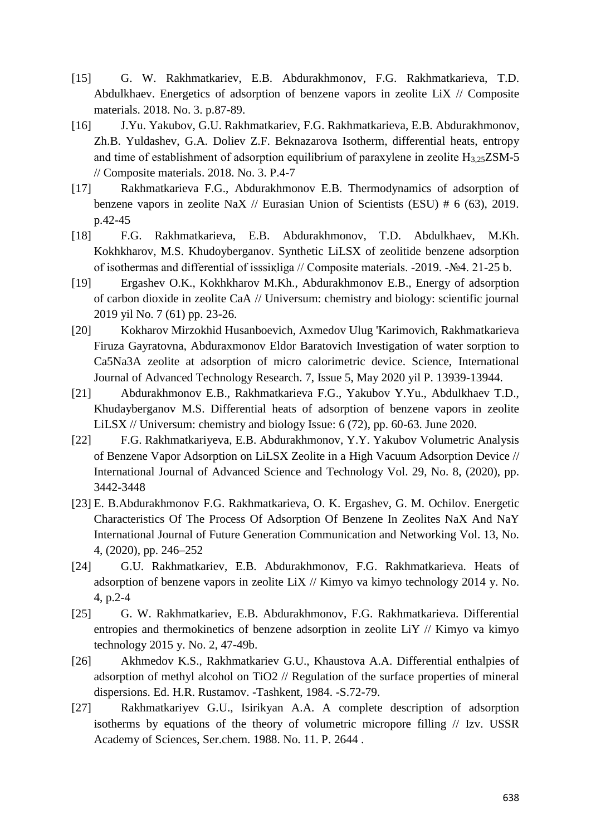- [15] G. W. Rakhmatkariev, E.B. Abdurakhmonov, F.G. Rakhmatkarieva, T.D. Abdulkhaev. Energetics of adsorption of benzene vapors in zeolite LiX // Composite materials. 2018. No. 3. p.87-89.
- [16] J.Yu. Yakubov, G.U. Rakhmatkariev, F.G. Rakhmatkarieva, E.B. Abdurakhmonov, Zh.B. Yuldashev, G.A. Doliev Z.F. Beknazarova Isotherm, differential heats, entropy and time of establishment of adsorption equilibrium of paraxylene in zeolite  $H_{3.25}ZSM-5$ // Composite materials. 2018. No. 3. P.4-7
- [17] Rakhmatkarieva F.G., Abdurakhmonov E.B. Thermodynamics of adsorption of benzene vapors in zeolite NaX // Eurasian Union of Scientists (ESU) # 6 (63), 2019. p.42-45
- [18] F.G. Rakhmatkarieva, E.B. Abdurakhmonov, T.D. Abdulkhaev, M.Kh. Kokhkharov, M.S. Khudoyberganov. Synthetic LiLSX of zeolitide benzene adsorption of isothermas and differential of isssiқliga // Composite materials. -2019. -№4. 21-25 b.
- [19] Ergashev O.K., Kokhkharov M.Kh., Abdurakhmonov E.B., Energy of adsorption of carbon dioxide in zeolite CaA // Universum: chemistry and biology: scientific journal 2019 yil No. 7 (61) pp. 23-26.
- [20] Kokharov Mirzokhid Husanboevich, Axmedov Ulug 'Karimovich, Rakhmatkarieva Firuza Gayratovna, Abduraxmonov Eldor Baratovich Investigation of water sorption to Ca5Na3A zeolite at adsorption of micro calorimetric device. Science, International Journal of Advanced Technology Research. 7, Issue 5, May 2020 yil P. 13939-13944.
- [21] Abdurakhmonov E.B., Rakhmatkarieva F.G., Yakubov Y.Yu., Abdulkhaev T.D., Khudayberganov M.S. Differential heats of adsorption of benzene vapors in zeolite LiLSX // Universum: chemistry and biology Issue: 6 (72), pp. 60-63. June 2020.
- [22] F.G. Rakhmatkariyeva, E.B. Abdurakhmonov, Y.Y. Yakubov Volumetric Analysis of Benzene Vapor Adsorption on LiLSX Zeolite in a High Vacuum Adsorption Device // International Journal of Advanced Science and Technology Vol. 29, No. 8, (2020), pp. 3442-3448
- [23] E. B.Abdurakhmonov F.G. Rakhmatkarieva, O. K. Ergashev, G. M. Ochilov. Energetic Characteristics Of The Process Of Adsorption Of Benzene In Zeolites NaX And NaY International Journal of Future Generation Communication and Networking Vol. 13, No. 4, (2020), pp. 246–252
- [24] G.U. Rakhmatkariev, E.B. Abdurakhmonov, F.G. Rakhmatkarieva. Heats of adsorption of benzene vapors in zeolite LiX // Kimyo va kimyo technology 2014 y. No. 4, p.2-4
- [25] G. W. Rakhmatkariev, E.B. Abdurakhmonov, F.G. Rakhmatkarieva. Differential entropies and thermokinetics of benzene adsorption in zeolite LiY // Kimyo va kimyo technology 2015 y. No. 2, 47-49b.
- [26] Akhmedov K.S., Rakhmatkariev G.U., Khaustova A.A. Differential enthalpies of adsorption of methyl alcohol on TiO2 // Regulation of the surface properties of mineral dispersions. Ed. H.R. Rustamov. -Tashkent, 1984. -S.72-79.
- [27] Rakhmatkariyev G.U., Isirikyan A.A. A complete description of adsorption isotherms by equations of the theory of volumetric micropore filling // Izv. USSR Academy of Sciences, Ser.chem. 1988. No. 11. P. 2644 .